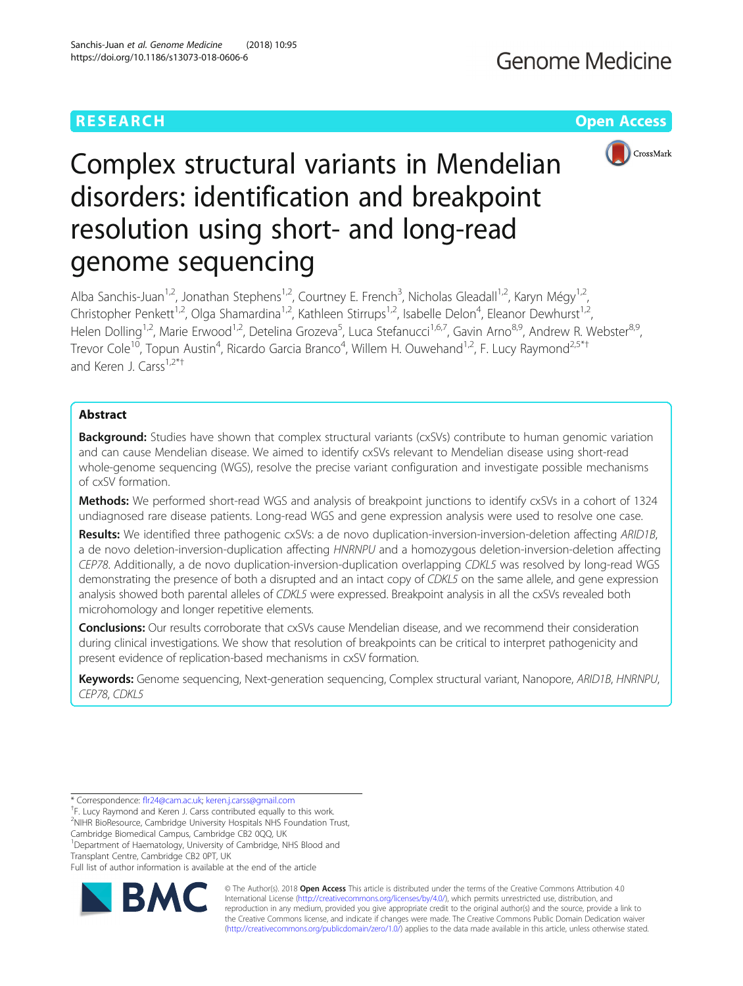# **RESEARCH CHE Open Access**



# Complex structural variants in Mendelian disorders: identification and breakpoint resolution using short- and long-read genome sequencing

Alba Sanchis-Juan<sup>1,2</sup>, Jonathan Stephens<sup>1,2</sup>, Courtney E. French<sup>3</sup>, Nicholas Gleadall<sup>1,2</sup>, Karyn Mégy<sup>1,2</sup>, Christopher Penkett<sup>1,2</sup>, Olga Shamardina<sup>1,2</sup>, Kathleen Stirrups<sup>1,2</sup>, Isabelle Delon<sup>4</sup>, Eleanor Dewhurst<sup>1,2</sup>, Helen Dolling<sup>1,2</sup>, Marie Erwood<sup>1,2</sup>, Detelina Grozeva<sup>5</sup>, Luca Stefanucci<sup>1,6,7</sup>, Gavin Arno<sup>8,9</sup>, Andrew R. Webster<sup>8,9</sup>, Trevor Cole<sup>10</sup>, Topun Austin<sup>4</sup>, Ricardo Garcia Branco<sup>4</sup>, Willem H. Ouwehand<sup>1,2</sup>, F. Lucy Raymond<sup>2,5\*†</sup> and Keren J. Carss<sup>1,2\*+</sup>

# Abstract

**Background:** Studies have shown that complex structural variants (cxSVs) contribute to human genomic variation and can cause Mendelian disease. We aimed to identify cxSVs relevant to Mendelian disease using short-read whole-genome sequencing (WGS), resolve the precise variant configuration and investigate possible mechanisms of cxSV formation.

Methods: We performed short-read WGS and analysis of breakpoint junctions to identify cxSVs in a cohort of 1324 undiagnosed rare disease patients. Long-read WGS and gene expression analysis were used to resolve one case.

Results: We identified three pathogenic cxSVs: a de novo duplication-inversion-inversion-deletion affecting ARID1B, a de novo deletion-inversion-duplication affecting HNRNPU and a homozygous deletion-inversion-deletion affecting CEP78. Additionally, a de novo duplication-inversion-duplication overlapping CDKL5 was resolved by long-read WGS demonstrating the presence of both a disrupted and an intact copy of CDKL5 on the same allele, and gene expression analysis showed both parental alleles of CDKL5 were expressed. Breakpoint analysis in all the cxSVs revealed both microhomology and longer repetitive elements.

**Conclusions:** Our results corroborate that cxSVs cause Mendelian disease, and we recommend their consideration during clinical investigations. We show that resolution of breakpoints can be critical to interpret pathogenicity and present evidence of replication-based mechanisms in cxSV formation.

Keywords: Genome sequencing, Next-generation sequencing, Complex structural variant, Nanopore, ARID1B, HNRNPU, CEP78, CDKL5

\* Correspondence: [flr24@cam.ac.uk;](mailto:flr24@cam.ac.uk) [keren.j.carss@gmail.com](mailto:keren.j.carss@gmail.com) †

<sup>+</sup>F. Lucy Raymond and Keren J. Carss contributed equally to this work. <sup>2</sup>NIHR BioResource, Cambridge University Hospitals NHS Foundation Trust,

Cambridge Biomedical Campus, Cambridge CB2 0QQ, UK

<sup>1</sup>Department of Haematology, University of Cambridge, NHS Blood and Transplant Centre, Cambridge CB2 0PT, UK

Full list of author information is available at the end of the article



© The Author(s). 2018 Open Access This article is distributed under the terms of the Creative Commons Attribution 4.0 International License [\(http://creativecommons.org/licenses/by/4.0/](http://creativecommons.org/licenses/by/4.0/)), which permits unrestricted use, distribution, and reproduction in any medium, provided you give appropriate credit to the original author(s) and the source, provide a link to the Creative Commons license, and indicate if changes were made. The Creative Commons Public Domain Dedication waiver [\(http://creativecommons.org/publicdomain/zero/1.0/](http://creativecommons.org/publicdomain/zero/1.0/)) applies to the data made available in this article, unless otherwise stated.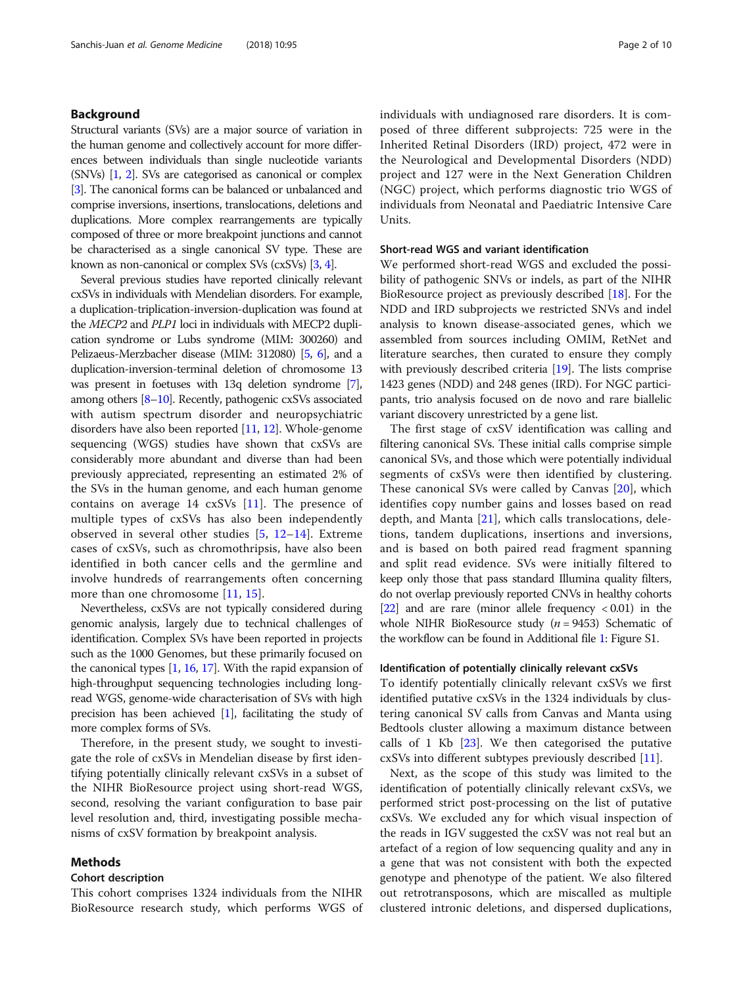# Background

Structural variants (SVs) are a major source of variation in the human genome and collectively account for more differences between individuals than single nucleotide variants (SNVs) [[1](#page-8-0), [2\]](#page-8-0). SVs are categorised as canonical or complex [[3](#page-8-0)]. The canonical forms can be balanced or unbalanced and comprise inversions, insertions, translocations, deletions and duplications. More complex rearrangements are typically composed of three or more breakpoint junctions and cannot be characterised as a single canonical SV type. These are known as non-canonical or complex SVs (cxSVs) [\[3,](#page-8-0) [4](#page-8-0)].

Several previous studies have reported clinically relevant cxSVs in individuals with Mendelian disorders. For example, a duplication-triplication-inversion-duplication was found at the MECP2 and PLP1 loci in individuals with MECP2 duplication syndrome or Lubs syndrome (MIM: 300260) and Pelizaeus-Merzbacher disease (MIM: 312080) [\[5,](#page-8-0) [6](#page-9-0)], and a duplication-inversion-terminal deletion of chromosome 13 was present in foetuses with 13q deletion syndrome [\[7](#page-9-0)], among others [[8](#page-9-0)–[10](#page-9-0)]. Recently, pathogenic cxSVs associated with autism spectrum disorder and neuropsychiatric disorders have also been reported [[11](#page-9-0), [12\]](#page-9-0). Whole-genome sequencing (WGS) studies have shown that cxSVs are considerably more abundant and diverse than had been previously appreciated, representing an estimated 2% of the SVs in the human genome, and each human genome contains on average 14 cxSVs [[11](#page-9-0)]. The presence of multiple types of cxSVs has also been independently observed in several other studies  $[5, 12-14]$  $[5, 12-14]$  $[5, 12-14]$  $[5, 12-14]$  $[5, 12-14]$  $[5, 12-14]$ . Extreme cases of cxSVs, such as chromothripsis, have also been identified in both cancer cells and the germline and involve hundreds of rearrangements often concerning more than one chromosome [[11,](#page-9-0) [15\]](#page-9-0).

Nevertheless, cxSVs are not typically considered during genomic analysis, largely due to technical challenges of identification. Complex SVs have been reported in projects such as the 1000 Genomes, but these primarily focused on the canonical types  $[1, 16, 17]$  $[1, 16, 17]$  $[1, 16, 17]$  $[1, 16, 17]$  $[1, 16, 17]$  $[1, 16, 17]$ . With the rapid expansion of high-throughput sequencing technologies including longread WGS, genome-wide characterisation of SVs with high precision has been achieved [\[1\]](#page-8-0), facilitating the study of more complex forms of SVs.

Therefore, in the present study, we sought to investigate the role of cxSVs in Mendelian disease by first identifying potentially clinically relevant cxSVs in a subset of the NIHR BioResource project using short-read WGS, second, resolving the variant configuration to base pair level resolution and, third, investigating possible mechanisms of cxSV formation by breakpoint analysis.

#### Methods

# Cohort description

This cohort comprises 1324 individuals from the NIHR BioResource research study, which performs WGS of individuals with undiagnosed rare disorders. It is composed of three different subprojects: 725 were in the Inherited Retinal Disorders (IRD) project, 472 were in the Neurological and Developmental Disorders (NDD) project and 127 were in the Next Generation Children (NGC) project, which performs diagnostic trio WGS of individuals from Neonatal and Paediatric Intensive Care Units.

# Short-read WGS and variant identification

We performed short-read WGS and excluded the possibility of pathogenic SNVs or indels, as part of the NIHR BioResource project as previously described [[18](#page-9-0)]. For the NDD and IRD subprojects we restricted SNVs and indel analysis to known disease-associated genes, which we assembled from sources including OMIM, RetNet and literature searches, then curated to ensure they comply with previously described criteria [[19](#page-9-0)]. The lists comprise 1423 genes (NDD) and 248 genes (IRD). For NGC participants, trio analysis focused on de novo and rare biallelic variant discovery unrestricted by a gene list.

The first stage of cxSV identification was calling and filtering canonical SVs. These initial calls comprise simple canonical SVs, and those which were potentially individual segments of cxSVs were then identified by clustering. These canonical SVs were called by Canvas [[20\]](#page-9-0), which identifies copy number gains and losses based on read depth, and Manta [[21\]](#page-9-0), which calls translocations, deletions, tandem duplications, insertions and inversions, and is based on both paired read fragment spanning and split read evidence. SVs were initially filtered to keep only those that pass standard Illumina quality filters, do not overlap previously reported CNVs in healthy cohorts [[22](#page-9-0)] and are rare (minor allele frequency  $< 0.01$ ) in the whole NIHR BioResource study  $(n = 9453)$  Schematic of the workflow can be found in Additional file [1](#page-8-0): Figure S1.

#### Identification of potentially clinically relevant cxSVs

To identify potentially clinically relevant cxSVs we first identified putative cxSVs in the 1324 individuals by clustering canonical SV calls from Canvas and Manta using Bedtools cluster allowing a maximum distance between calls of 1 Kb [\[23\]](#page-9-0). We then categorised the putative cxSVs into different subtypes previously described [\[11\]](#page-9-0).

Next, as the scope of this study was limited to the identification of potentially clinically relevant cxSVs, we performed strict post-processing on the list of putative cxSVs. We excluded any for which visual inspection of the reads in IGV suggested the cxSV was not real but an artefact of a region of low sequencing quality and any in a gene that was not consistent with both the expected genotype and phenotype of the patient. We also filtered out retrotransposons, which are miscalled as multiple clustered intronic deletions, and dispersed duplications,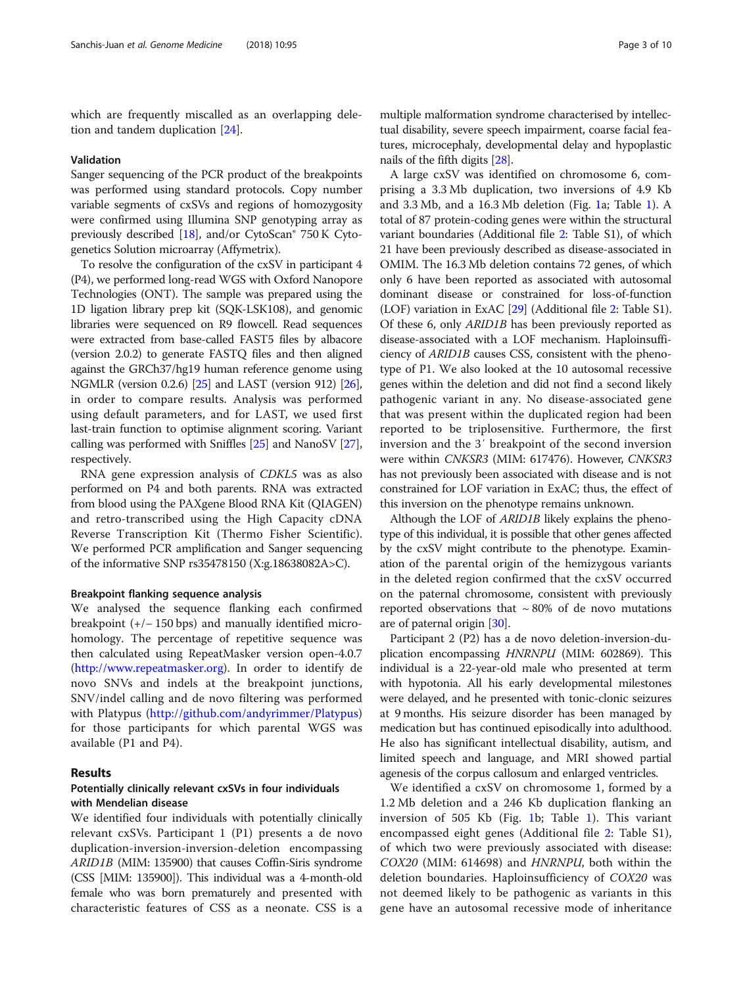## Validation

Sanger sequencing of the PCR product of the breakpoints was performed using standard protocols. Copy number variable segments of cxSVs and regions of homozygosity were confirmed using Illumina SNP genotyping array as previously described [[18](#page-9-0)], and/or CytoScan® 750 K Cytogenetics Solution microarray (Affymetrix).

To resolve the configuration of the cxSV in participant 4 (P4), we performed long-read WGS with Oxford Nanopore Technologies (ONT). The sample was prepared using the 1D ligation library prep kit (SQK-LSK108), and genomic libraries were sequenced on R9 flowcell. Read sequences were extracted from base-called FAST5 files by albacore (version 2.0.2) to generate FASTQ files and then aligned against the GRCh37/hg19 human reference genome using NGMLR (version 0.2.6) [\[25](#page-9-0)] and LAST (version 912) [[26](#page-9-0)], in order to compare results. Analysis was performed using default parameters, and for LAST, we used first last-train function to optimise alignment scoring. Variant calling was performed with Sniffles [\[25\]](#page-9-0) and NanoSV [[27](#page-9-0)], respectively.

RNA gene expression analysis of CDKL5 was as also performed on P4 and both parents. RNA was extracted from blood using the PAXgene Blood RNA Kit (QIAGEN) and retro-transcribed using the High Capacity cDNA Reverse Transcription Kit (Thermo Fisher Scientific). We performed PCR amplification and Sanger sequencing of the informative SNP rs35478150 (X:g.18638082A>C).

#### Breakpoint flanking sequence analysis

We analysed the sequence flanking each confirmed breakpoint (+/− 150 bps) and manually identified microhomology. The percentage of repetitive sequence was then calculated using RepeatMasker version open-4.0.7 (<http://www.repeatmasker.org>). In order to identify de novo SNVs and indels at the breakpoint junctions, SNV/indel calling and de novo filtering was performed with Platypus [\(http://github.com/andyrimmer/Platypus](http://github.com/andyrimmer/Platypus)) for those participants for which parental WGS was available (P1 and P4).

# Results

# Potentially clinically relevant cxSVs in four individuals with Mendelian disease

We identified four individuals with potentially clinically relevant cxSVs. Participant 1 (P1) presents a de novo duplication-inversion-inversion-deletion encompassing ARID1B (MIM: 135900) that causes Coffin-Siris syndrome (CSS [MIM: 135900]). This individual was a 4-month-old female who was born prematurely and presented with characteristic features of CSS as a neonate. CSS is a

multiple malformation syndrome characterised by intellectual disability, severe speech impairment, coarse facial features, microcephaly, developmental delay and hypoplastic nails of the fifth digits [[28](#page-9-0)].

A large cxSV was identified on chromosome 6, comprising a 3.3 Mb duplication, two inversions of 4.9 Kb and 3.3 Mb, and a 16.3 Mb deletion (Fig. [1](#page-3-0)a; Table [1\)](#page-4-0). A total of 87 protein-coding genes were within the structural variant boundaries (Additional file [2](#page-8-0): Table S1), of which 21 have been previously described as disease-associated in OMIM. The 16.3 Mb deletion contains 72 genes, of which only 6 have been reported as associated with autosomal dominant disease or constrained for loss-of-function (LOF) variation in ExAC [\[29\]](#page-9-0) (Additional file [2:](#page-8-0) Table S1). Of these 6, only ARID1B has been previously reported as disease-associated with a LOF mechanism. Haploinsufficiency of ARID1B causes CSS, consistent with the phenotype of P1. We also looked at the 10 autosomal recessive genes within the deletion and did not find a second likely pathogenic variant in any. No disease-associated gene that was present within the duplicated region had been reported to be triplosensitive. Furthermore, the first inversion and the 3′ breakpoint of the second inversion were within CNKSR3 (MIM: 617476). However, CNKSR3 has not previously been associated with disease and is not constrained for LOF variation in ExAC; thus, the effect of this inversion on the phenotype remains unknown.

Although the LOF of ARID1B likely explains the phenotype of this individual, it is possible that other genes affected by the cxSV might contribute to the phenotype. Examination of the parental origin of the hemizygous variants in the deleted region confirmed that the cxSV occurred on the paternal chromosome, consistent with previously reported observations that  $\sim 80\%$  of de novo mutations are of paternal origin [\[30](#page-9-0)].

Participant 2 (P2) has a de novo deletion-inversion-duplication encompassing HNRNPU (MIM: 602869). This individual is a 22-year-old male who presented at term with hypotonia. All his early developmental milestones were delayed, and he presented with tonic-clonic seizures at 9 months. His seizure disorder has been managed by medication but has continued episodically into adulthood. He also has significant intellectual disability, autism, and limited speech and language, and MRI showed partial agenesis of the corpus callosum and enlarged ventricles.

We identified a cxSV on chromosome 1, formed by a 1.2 Mb deletion and a 246 Kb duplication flanking an inversion of 505 Kb (Fig. [1b](#page-3-0); Table [1\)](#page-4-0). This variant encompassed eight genes (Additional file [2:](#page-8-0) Table S1), of which two were previously associated with disease: COX20 (MIM: 614698) and HNRNPU, both within the deletion boundaries. Haploinsufficiency of COX20 was not deemed likely to be pathogenic as variants in this gene have an autosomal recessive mode of inheritance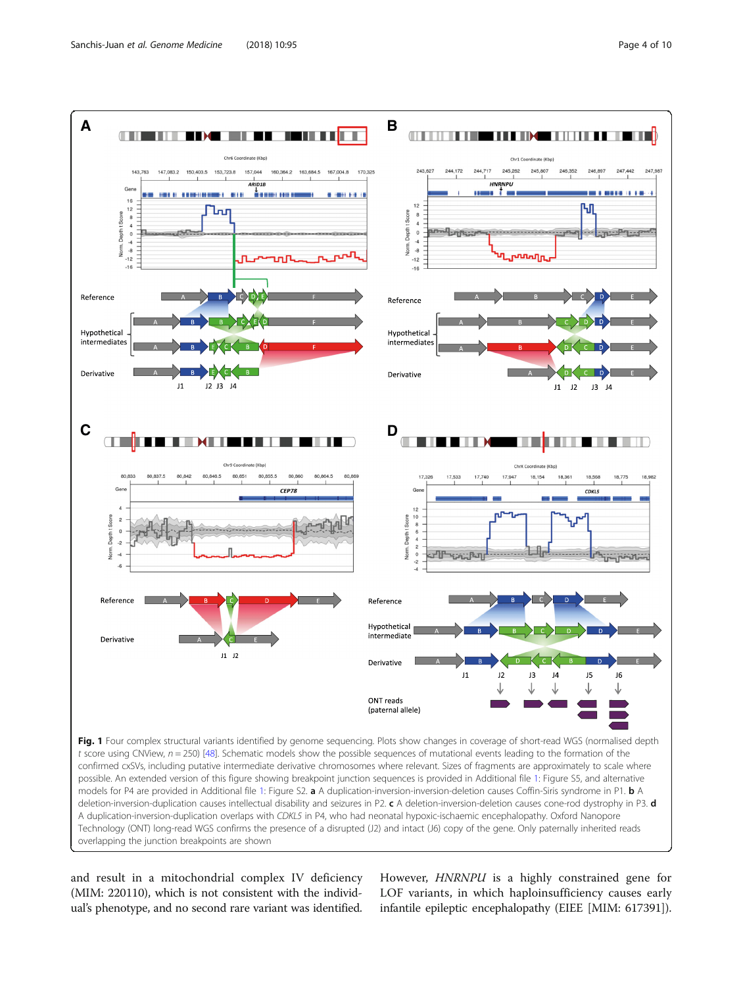<span id="page-3-0"></span>

deletion-inversion-duplication causes intellectual disability and seizures in P2. c A deletion-inversion-deletion causes cone-rod dystrophy in P3. d A duplication-inversion-duplication overlaps with CDKL5 in P4, who had neonatal hypoxic-ischaemic encephalopathy. Oxford Nanopore Technology (ONT) long-read WGS confirms the presence of a disrupted (J2) and intact (J6) copy of the gene. Only paternally inherited reads overlapping the junction breakpoints are shown

and result in a mitochondrial complex IV deficiency (MIM: 220110), which is not consistent with the individual's phenotype, and no second rare variant was identified. However, HNRNPU is a highly constrained gene for LOF variants, in which haploinsufficiency causes early infantile epileptic encephalopathy (EIEE [MIM: 617391]).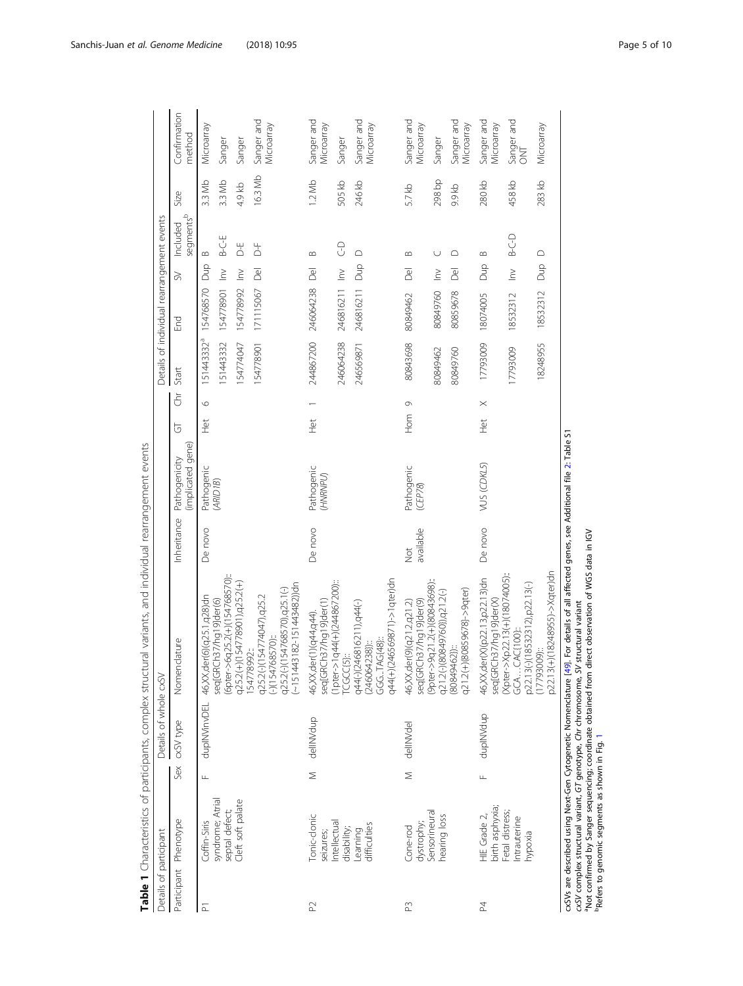<span id="page-4-0"></span>

|                     | hold of the structure of the structure of the structure of the structure of the structure of the structure of the structure of the structure of the structure of the structure of the structure of the structure of the struct<br>Details of participant |        | Details of whole cxSV |                                                                                                                                                                                                                                                                  |                            |                                    |                 |                         |                       | Details of individual rearrangement events |                |                       |         |                           |
|---------------------|----------------------------------------------------------------------------------------------------------------------------------------------------------------------------------------------------------------------------------------------------------|--------|-----------------------|------------------------------------------------------------------------------------------------------------------------------------------------------------------------------------------------------------------------------------------------------------------|----------------------------|------------------------------------|-----------------|-------------------------|-----------------------|--------------------------------------------|----------------|-----------------------|---------|---------------------------|
|                     | Participant Phenotype                                                                                                                                                                                                                                    | Sex    | cxSV type             | Nomenclature                                                                                                                                                                                                                                                     | Inheritance                | (implicated gene)<br>Pathogenicity | 5               | Start<br>$\overline{5}$ |                       | Fug                                        | $\gtrsim$      | segmentsb<br>Included | Size    | Confirmation<br>method    |
| $\overline{\Delta}$ | Coffin-Siris                                                                                                                                                                                                                                             | Щ      | dupINVinvDEL          | 46,XX,der(6)(q25.1,q28)dn                                                                                                                                                                                                                                        | De novo                    | Pathogenic                         | $\frac{t}{\pm}$ | $\circ$                 | S1443332 <sup>a</sup> | 154768570                                  | <b>Slug</b>    | $\infty$              | 3.3 Mb  | Microarray                |
|                     | syndrome; Atrial<br>septal defect;                                                                                                                                                                                                                       |        |                       | (6pter->6q25.2(+)(154768570):<br>seq[GRCh37/hg19]der(6)                                                                                                                                                                                                          |                            | (ARI)                              |                 |                         | 51443332              | 154778901 Inv                              |                | B-C-E                 | 3.3 Mb  | Sanger                    |
|                     | Cleft soft palate                                                                                                                                                                                                                                        |        |                       | q25.2(+)(154778901),q25.2(+)                                                                                                                                                                                                                                     |                            |                                    |                 |                         | 54774047              | 154778992                                  | $\geq$         | $\overline{a}$        | 4.9 kb  | Sanger                    |
|                     |                                                                                                                                                                                                                                                          |        |                       | $-151443182 - 151443482)$ )dn<br>q25.2(-)(154768570),q25.1(-)<br>q25.2(-)(154774047),q25.2<br>$(-)(154768570)$ :<br>54778992:                                                                                                                                    |                            |                                    |                 |                         | 154778901             | 171115067                                  | Del            | $\overline{d}$        | 16.3 Mb | Sanger and<br>Microarray  |
| $\mathbb{S}$        | Tonic-clonic<br>seizures;                                                                                                                                                                                                                                | $\geq$ | delINVdup             | 46,XX,der(1)(q44,q44).<br>seq[GRCh37/hg19]der(1)                                                                                                                                                                                                                 | De novo                    | Pathogenic<br>(HNRNPU)             | $\frac{1}{2}$   |                         | 244867200             | 246064238                                  | $\overline{P}$ | $\approx$             | 1.2 Mb  | Sanger and<br>Viicroarray |
|                     | ntellectual<br>disability;                                                                                                                                                                                                                               |        |                       | :1pter->1q44(+)(244867200):<br><b>CGCC(5):</b>                                                                                                                                                                                                                   |                            |                                    |                 |                         | 246064238             | 246816211                                  | $\geq$         | 9                     | 505 kb  | Sanger                    |
|                     | difficulties<br>Learning                                                                                                                                                                                                                                 |        |                       | q44(+)(246569871)->1qter)dn<br>q44(-)(246816211),q44(-)<br>GGGTAG{48}:<br>246064238}):                                                                                                                                                                           |                            |                                    |                 |                         | 246569871             | 246816211                                  | Dup            | $\bigcirc$            | 246 kb  | Sanger and<br>Microarray  |
| m                   | dystrophy;<br>Cone-rod                                                                                                                                                                                                                                   | $\leq$ | delINVdel             | 46,XX,der(9)(q21.2,q21.2)<br>seq[GRCh37/hg19]der(9)                                                                                                                                                                                                              | available<br>$\frac{1}{2}$ | Pathogenic<br>(CEPZ8)              | Hom             | 0                       | 80843698              | 80849462                                   | $\overline{R}$ | $\infty$              | 5.7 kb  | Sanger and<br>Microarray  |
|                     | Sensorineural<br>hearing loss                                                                                                                                                                                                                            |        |                       | (9pter->9q21.2(+)(80843698):<br>q21.2(-)(80849760)),q21.2(-)                                                                                                                                                                                                     |                            |                                    |                 |                         | 80849462              | 80849760                                   | $\geq$         | ◡                     | 298 bp  | Sanger                    |
|                     |                                                                                                                                                                                                                                                          |        |                       | q21.2(+)(80859678}->9qter)<br>$(80849462)$ :                                                                                                                                                                                                                     |                            |                                    |                 |                         | 80849760              | 80859678                                   | $\overline{2}$ | △                     | 9.9 kb  | Sanger and<br>Microarray  |
| 조                   | birth asphyxia;<br>HIE Grade 2,                                                                                                                                                                                                                          | Щ      | dupINVdup             | 46,XX,der(X)(p22.13,p22.13)dn<br>seq[GRCh37/hg19]der(X)                                                                                                                                                                                                          | De novo                    | VUS (CDKL5)                        | Het             | $\times$                | 17793009              | 18074005                                   | <b>S</b>       | $\infty$              | 280 kb  | Sanger and<br>Vicroarray  |
|                     | Fetal distress;<br>Intrauterine<br>hypoxia                                                                                                                                                                                                               |        |                       | Xpter->Xp22.13(+)(18074005):<br>p22.13(-)(18532312),p22.13(-)<br>GCACAC{100}:                                                                                                                                                                                    |                            |                                    |                 |                         | 17793009              | 18532312                                   | $\geq$         | $B-C-D$               | 458 kb  | Sanger and<br>ONT         |
|                     |                                                                                                                                                                                                                                                          |        |                       | p22.13(+)(18248955)->Xqter)dn<br>(17793009):                                                                                                                                                                                                                     |                            |                                    |                 |                         | 18248955              | 18532312                                   | Dup            | $\bigcirc$            | 283 kb  | Microarray                |
|                     | cxSV complex structural variant, GT genotype, Chr chromosome, SV<br><sup>D</sup> Refers to genomic segments as shown in Fig. 1                                                                                                                           |        |                       | cxSVs are described using Next-Gen Cytogenetic Nomenclature [49]. For details of all affected genes, see Additional file 2: Table S1<br>Not confirmed by Sanger sequencing; coordinate obtained from direct observation of WGS data in IGV<br>structural variant |                            |                                    |                 |                         |                       |                                            |                |                       |         |                           |

Table 1 Characteristics of participants, complex structural variants, and individual rearrangement events Table 1 Characteristics of participants, complex structural variants, and individual rearrangement events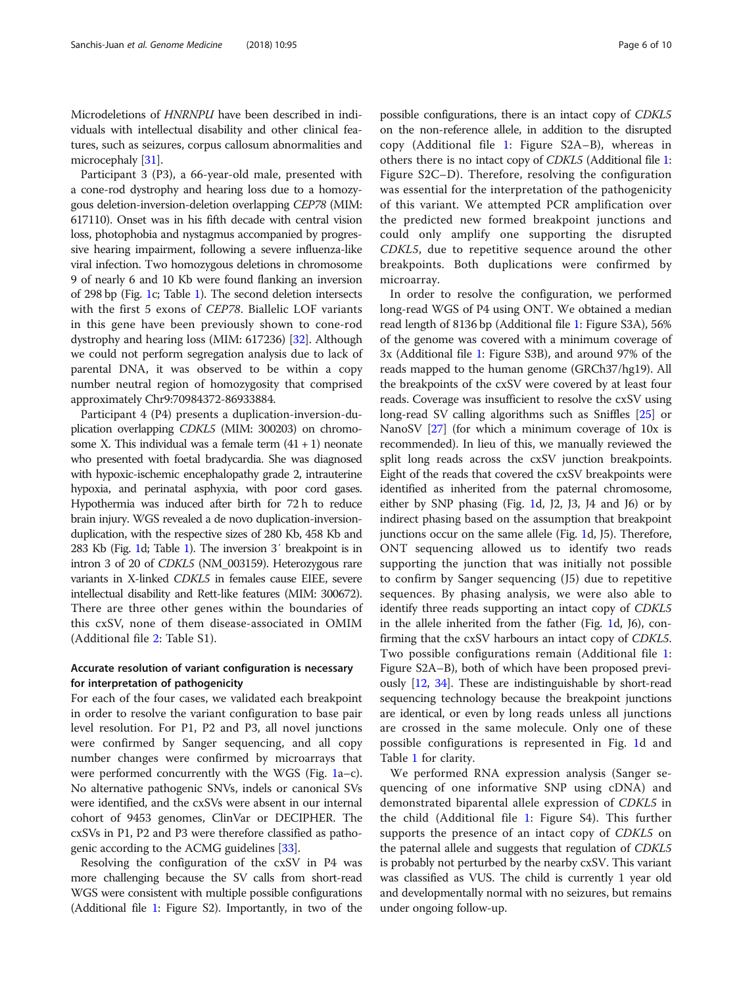Microdeletions of HNRNPU have been described in individuals with intellectual disability and other clinical features, such as seizures, corpus callosum abnormalities and microcephaly [\[31\]](#page-9-0).

Participant 3 (P3), a 66-year-old male, presented with a cone-rod dystrophy and hearing loss due to a homozygous deletion-inversion-deletion overlapping CEP78 (MIM: 617110). Onset was in his fifth decade with central vision loss, photophobia and nystagmus accompanied by progressive hearing impairment, following a severe influenza-like viral infection. Two homozygous deletions in chromosome 9 of nearly 6 and 10 Kb were found flanking an inversion of 298 bp (Fig. [1c](#page-3-0); Table [1\)](#page-4-0). The second deletion intersects with the first 5 exons of CEP78. Biallelic LOF variants in this gene have been previously shown to cone-rod dystrophy and hearing loss (MIM: 617236) [\[32\]](#page-9-0). Although we could not perform segregation analysis due to lack of parental DNA, it was observed to be within a copy number neutral region of homozygosity that comprised approximately Chr9:70984372-86933884.

Participant 4 (P4) presents a duplication-inversion-duplication overlapping CDKL5 (MIM: 300203) on chromosome X. This individual was a female term  $(41 + 1)$  neonate who presented with foetal bradycardia. She was diagnosed with hypoxic-ischemic encephalopathy grade 2, intrauterine hypoxia, and perinatal asphyxia, with poor cord gases. Hypothermia was induced after birth for 72 h to reduce brain injury. WGS revealed a de novo duplication-inversionduplication, with the respective sizes of 280 Kb, 458 Kb and 283 Kb (Fig. [1d](#page-3-0); Table [1\)](#page-4-0). The inversion 3′ breakpoint is in intron 3 of 20 of CDKL5 (NM\_003159). Heterozygous rare variants in X-linked CDKL5 in females cause EIEE, severe intellectual disability and Rett-like features (MIM: 300672). There are three other genes within the boundaries of this cxSV, none of them disease-associated in OMIM (Additional file [2:](#page-8-0) Table S1).

# Accurate resolution of variant configuration is necessary for interpretation of pathogenicity

For each of the four cases, we validated each breakpoint in order to resolve the variant configuration to base pair level resolution. For P1, P2 and P3, all novel junctions were confirmed by Sanger sequencing, and all copy number changes were confirmed by microarrays that were performed concurrently with the WGS (Fig. [1a](#page-3-0)–c). No alternative pathogenic SNVs, indels or canonical SVs were identified, and the cxSVs were absent in our internal cohort of 9453 genomes, ClinVar or DECIPHER. The cxSVs in P1, P2 and P3 were therefore classified as pathogenic according to the ACMG guidelines [\[33\]](#page-9-0).

Resolving the configuration of the cxSV in P4 was more challenging because the SV calls from short-read WGS were consistent with multiple possible configurations (Additional file [1:](#page-8-0) Figure S2). Importantly, in two of the possible configurations, there is an intact copy of CDKL5 on the non-reference allele, in addition to the disrupted copy (Additional file [1](#page-8-0): Figure S2A–B), whereas in others there is no intact copy of CDKL5 (Additional file [1](#page-8-0): Figure S2C–D). Therefore, resolving the configuration was essential for the interpretation of the pathogenicity of this variant. We attempted PCR amplification over the predicted new formed breakpoint junctions and could only amplify one supporting the disrupted CDKL5, due to repetitive sequence around the other breakpoints. Both duplications were confirmed by microarray.

In order to resolve the configuration, we performed long-read WGS of P4 using ONT. We obtained a median read length of 8136 bp (Additional file [1:](#page-8-0) Figure S3A), 56% of the genome was covered with a minimum coverage of 3x (Additional file [1:](#page-8-0) Figure S3B), and around 97% of the reads mapped to the human genome (GRCh37/hg19). All the breakpoints of the cxSV were covered by at least four reads. Coverage was insufficient to resolve the cxSV using long-read SV calling algorithms such as Sniffles [[25](#page-9-0)] or NanoSV [[27](#page-9-0)] (for which a minimum coverage of 10x is recommended). In lieu of this, we manually reviewed the split long reads across the cxSV junction breakpoints. Eight of the reads that covered the cxSV breakpoints were identified as inherited from the paternal chromosome, either by SNP phasing (Fig. [1d](#page-3-0), J2, J3, J4 and J6) or by indirect phasing based on the assumption that breakpoint junctions occur on the same allele (Fig. [1d](#page-3-0), J5). Therefore, ONT sequencing allowed us to identify two reads supporting the junction that was initially not possible to confirm by Sanger sequencing (J5) due to repetitive sequences. By phasing analysis, we were also able to identify three reads supporting an intact copy of CDKL5 in the allele inherited from the father (Fig. [1d](#page-3-0), J6), confirming that the cxSV harbours an intact copy of CDKL5. Two possible configurations remain (Additional file [1](#page-8-0): Figure S2A–B), both of which have been proposed previously [[12](#page-9-0), [34](#page-9-0)]. These are indistinguishable by short-read sequencing technology because the breakpoint junctions are identical, or even by long reads unless all junctions are crossed in the same molecule. Only one of these possible configurations is represented in Fig. [1d](#page-3-0) and Table [1](#page-4-0) for clarity.

We performed RNA expression analysis (Sanger sequencing of one informative SNP using cDNA) and demonstrated biparental allele expression of CDKL5 in the child (Additional file [1](#page-8-0): Figure S4). This further supports the presence of an intact copy of CDKL5 on the paternal allele and suggests that regulation of CDKL5 is probably not perturbed by the nearby cxSV. This variant was classified as VUS. The child is currently 1 year old and developmentally normal with no seizures, but remains under ongoing follow-up.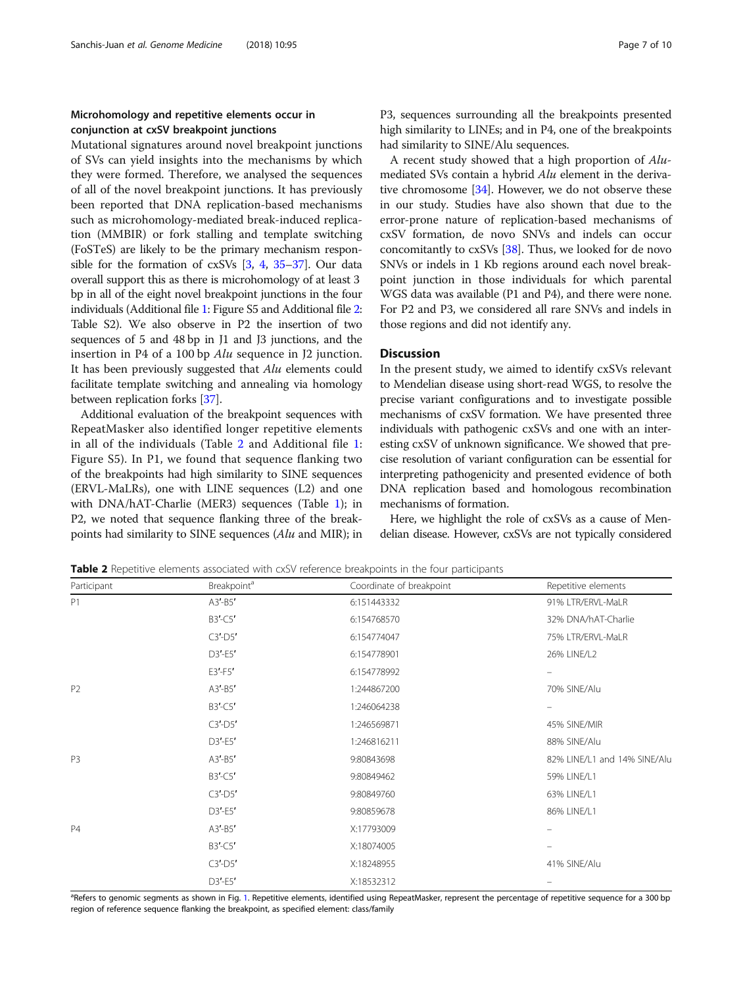# Microhomology and repetitive elements occur in conjunction at cxSV breakpoint junctions

Mutational signatures around novel breakpoint junctions of SVs can yield insights into the mechanisms by which they were formed. Therefore, we analysed the sequences of all of the novel breakpoint junctions. It has previously been reported that DNA replication-based mechanisms such as microhomology-mediated break-induced replication (MMBIR) or fork stalling and template switching (FoSTeS) are likely to be the primary mechanism responsible for the formation of  $cxSVs$   $[3, 4, 35-37]$  $[3, 4, 35-37]$  $[3, 4, 35-37]$  $[3, 4, 35-37]$  $[3, 4, 35-37]$  $[3, 4, 35-37]$  $[3, 4, 35-37]$ . Our data overall support this as there is microhomology of at least 3 bp in all of the eight novel breakpoint junctions in the four individuals (Additional file [1](#page-8-0): Figure S5 and Additional file [2](#page-8-0): Table S2). We also observe in P2 the insertion of two sequences of 5 and 48 bp in J1 and J3 junctions, and the insertion in P4 of a 100 bp Alu sequence in J2 junction. It has been previously suggested that Alu elements could facilitate template switching and annealing via homology between replication forks [\[37\]](#page-9-0).

Additional evaluation of the breakpoint sequences with RepeatMasker also identified longer repetitive elements in all of the individuals (Table 2 and Additional file [1](#page-8-0): Figure S5). In P1, we found that sequence flanking two of the breakpoints had high similarity to SINE sequences (ERVL-MaLRs), one with LINE sequences (L2) and one with DNA/hAT-Charlie (MER3) sequences (Table [1\)](#page-4-0); in P2, we noted that sequence flanking three of the breakpoints had similarity to SINE sequences (Alu and MIR); in

P3, sequences surrounding all the breakpoints presented high similarity to LINEs; and in P4, one of the breakpoints had similarity to SINE/Alu sequences.

A recent study showed that a high proportion of Alumediated SVs contain a hybrid Alu element in the derivative chromosome [\[34\]](#page-9-0). However, we do not observe these in our study. Studies have also shown that due to the error-prone nature of replication-based mechanisms of cxSV formation, de novo SNVs and indels can occur concomitantly to cxSVs [\[38\]](#page-9-0). Thus, we looked for de novo SNVs or indels in 1 Kb regions around each novel breakpoint junction in those individuals for which parental WGS data was available (P1 and P4), and there were none. For P2 and P3, we considered all rare SNVs and indels in those regions and did not identify any.

## **Discussion**

In the present study, we aimed to identify cxSVs relevant to Mendelian disease using short-read WGS, to resolve the precise variant configurations and to investigate possible mechanisms of cxSV formation. We have presented three individuals with pathogenic cxSVs and one with an interesting cxSV of unknown significance. We showed that precise resolution of variant configuration can be essential for interpreting pathogenicity and presented evidence of both DNA replication based and homologous recombination mechanisms of formation.

Here, we highlight the role of cxSVs as a cause of Mendelian disease. However, cxSVs are not typically considered

Participant **Breakpoint<sup>a</sup>** Breakpoint<sup>a</sup> Coordinate of breakpoint Repetitive elements P1 A3'-B5' 6:151443332 91% LTR/ERVL-MaLR B3′-C5′ 6:154768570 32% DNA/hAT-Charlie C3′-D5′ 6:154774047 75% LTR/ERVL-MaLR D3′-E5′ 6:154778901 26% LINE/L2 E3′-F5′ 6:154778992 – P2 A3'-B5' 1:244867200 70% SINE/Alu B3'-C5' 1:246064238 C3′-D5′ 1:246569871 45% SINE/MIR D3′-E5′ 1:246816211 88% SINE/Alu P3 A3'-B5' 9:80843698 9:80843698 82% LINE/L1 and 14% SINE/Alu B3′-C5′ 9:80849462 59% LINE/L1 C3′-D5′ 9:80849760 63% LINE/L1 D3′-E5′ 9:80859678 86% LINE/L1 P4 A3<sup>'</sup>-B5' A33<sup>'-B5'</sup> X:17793009 A31-B5' A33'-B5' A33'-B5' A33'-B5' A33'-B5' A33'-B5' A33'-B5' A33'-B5' A33'-B5' A33'-B5' A33'-B5' A33'-B5' A33'-B5' A33'-B5' A33'-B5' A33'-B5' A33'-B5' A33'-B5' A33'-B5' A33'-B5' A33'-B5' B3′-C5′ X:18074005 – C3′-D5′ X:18248955 41% SINE/Alu D3′-E5′ X:18532312 –

Table 2 Repetitive elements associated with cxSV reference breakpoints in the four participants

<sup>a</sup>Refers to genomic segments as shown in Fig. [1.](#page-3-0) Repetitive elements, identified using RepeatMasker, represent the percentage of repetitive sequence for a 300 bp region of reference sequence flanking the breakpoint, as specified element: class/family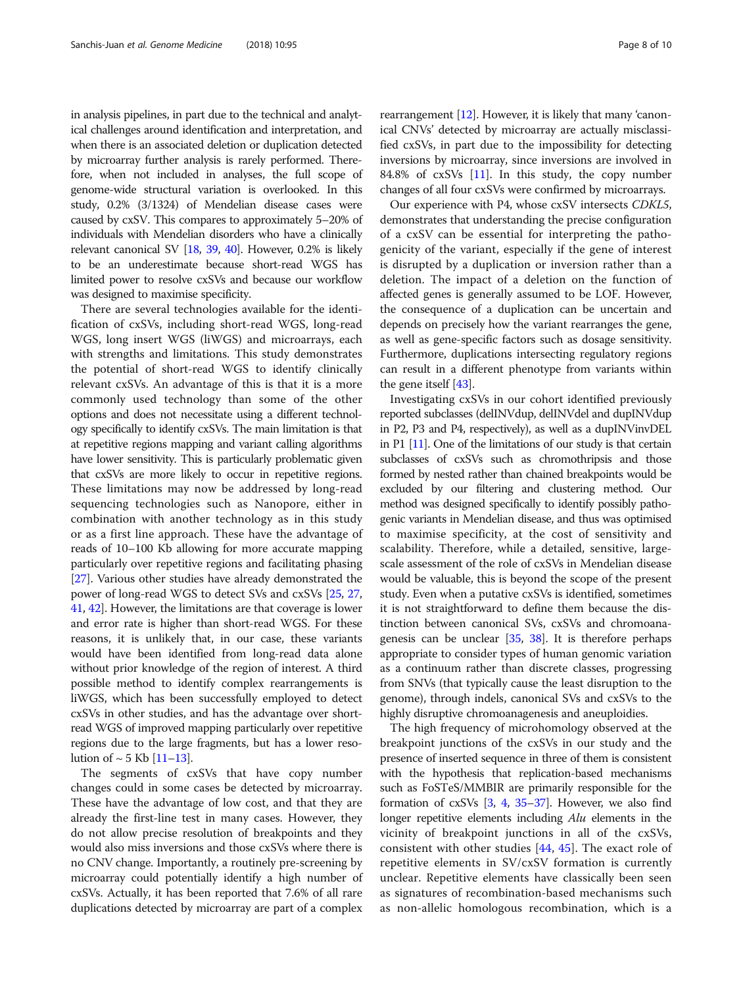in analysis pipelines, in part due to the technical and analytical challenges around identification and interpretation, and when there is an associated deletion or duplication detected by microarray further analysis is rarely performed. Therefore, when not included in analyses, the full scope of genome-wide structural variation is overlooked. In this study, 0.2% (3/1324) of Mendelian disease cases were caused by cxSV. This compares to approximately 5–20% of individuals with Mendelian disorders who have a clinically relevant canonical SV [\[18,](#page-9-0) [39,](#page-9-0) [40\]](#page-9-0). However, 0.2% is likely to be an underestimate because short-read WGS has limited power to resolve cxSVs and because our workflow was designed to maximise specificity.

There are several technologies available for the identification of cxSVs, including short-read WGS, long-read WGS, long insert WGS (liWGS) and microarrays, each with strengths and limitations. This study demonstrates the potential of short-read WGS to identify clinically relevant cxSVs. An advantage of this is that it is a more commonly used technology than some of the other options and does not necessitate using a different technology specifically to identify cxSVs. The main limitation is that at repetitive regions mapping and variant calling algorithms have lower sensitivity. This is particularly problematic given that cxSVs are more likely to occur in repetitive regions. These limitations may now be addressed by long-read sequencing technologies such as Nanopore, either in combination with another technology as in this study or as a first line approach. These have the advantage of reads of 10–100 Kb allowing for more accurate mapping particularly over repetitive regions and facilitating phasing [[27](#page-9-0)]. Various other studies have already demonstrated the power of long-read WGS to detect SVs and cxSVs [\[25,](#page-9-0) [27](#page-9-0), [41](#page-9-0), [42\]](#page-9-0). However, the limitations are that coverage is lower and error rate is higher than short-read WGS. For these reasons, it is unlikely that, in our case, these variants would have been identified from long-read data alone without prior knowledge of the region of interest. A third possible method to identify complex rearrangements is liWGS, which has been successfully employed to detect cxSVs in other studies, and has the advantage over shortread WGS of improved mapping particularly over repetitive regions due to the large fragments, but has a lower resolution of  $\sim$  5 Kb [\[11](#page-9-0)–[13\]](#page-9-0).

The segments of cxSVs that have copy number changes could in some cases be detected by microarray. These have the advantage of low cost, and that they are already the first-line test in many cases. However, they do not allow precise resolution of breakpoints and they would also miss inversions and those cxSVs where there is no CNV change. Importantly, a routinely pre-screening by microarray could potentially identify a high number of cxSVs. Actually, it has been reported that 7.6% of all rare duplications detected by microarray are part of a complex rearrangement [\[12\]](#page-9-0). However, it is likely that many 'canonical CNVs' detected by microarray are actually misclassified cxSVs, in part due to the impossibility for detecting inversions by microarray, since inversions are involved in

changes of all four cxSVs were confirmed by microarrays. Our experience with P4, whose cxSV intersects CDKL5, demonstrates that understanding the precise configuration of a cxSV can be essential for interpreting the pathogenicity of the variant, especially if the gene of interest is disrupted by a duplication or inversion rather than a deletion. The impact of a deletion on the function of affected genes is generally assumed to be LOF. However, the consequence of a duplication can be uncertain and depends on precisely how the variant rearranges the gene, as well as gene-specific factors such as dosage sensitivity. Furthermore, duplications intersecting regulatory regions can result in a different phenotype from variants within the gene itself [[43](#page-9-0)].

84.8% of cxSVs [[11](#page-9-0)]. In this study, the copy number

Investigating cxSVs in our cohort identified previously reported subclasses (delINVdup, delINVdel and dupINVdup in P2, P3 and P4, respectively), as well as a dupINVinvDEL in P1 [[11\]](#page-9-0). One of the limitations of our study is that certain subclasses of cxSVs such as chromothripsis and those formed by nested rather than chained breakpoints would be excluded by our filtering and clustering method. Our method was designed specifically to identify possibly pathogenic variants in Mendelian disease, and thus was optimised to maximise specificity, at the cost of sensitivity and scalability. Therefore, while a detailed, sensitive, largescale assessment of the role of cxSVs in Mendelian disease would be valuable, this is beyond the scope of the present study. Even when a putative cxSVs is identified, sometimes it is not straightforward to define them because the distinction between canonical SVs, cxSVs and chromoanagenesis can be unclear [\[35,](#page-9-0) [38](#page-9-0)]. It is therefore perhaps appropriate to consider types of human genomic variation as a continuum rather than discrete classes, progressing from SNVs (that typically cause the least disruption to the genome), through indels, canonical SVs and cxSVs to the highly disruptive chromoanagenesis and aneuploidies.

The high frequency of microhomology observed at the breakpoint junctions of the cxSVs in our study and the presence of inserted sequence in three of them is consistent with the hypothesis that replication-based mechanisms such as FoSTeS/MMBIR are primarily responsible for the formation of  $cxSVs$  [[3,](#page-8-0) [4,](#page-8-0) [35](#page-9-0)–[37\]](#page-9-0). However, we also find longer repetitive elements including Alu elements in the vicinity of breakpoint junctions in all of the cxSVs, consistent with other studies [\[44](#page-9-0), [45\]](#page-9-0). The exact role of repetitive elements in SV/cxSV formation is currently unclear. Repetitive elements have classically been seen as signatures of recombination-based mechanisms such as non-allelic homologous recombination, which is a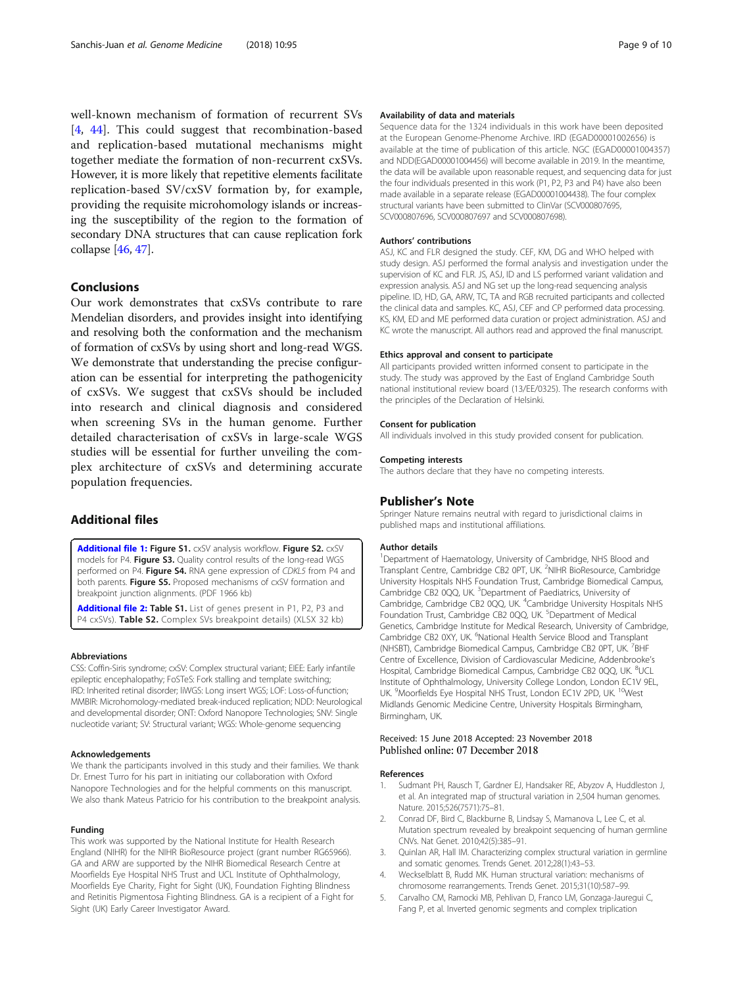<span id="page-8-0"></span>well-known mechanism of formation of recurrent SVs [4, [44](#page-9-0)]. This could suggest that recombination-based and replication-based mutational mechanisms might together mediate the formation of non-recurrent cxSVs. However, it is more likely that repetitive elements facilitate replication-based SV/cxSV formation by, for example, providing the requisite microhomology islands or increasing the susceptibility of the region to the formation of secondary DNA structures that can cause replication fork collapse [\[46,](#page-9-0) [47](#page-9-0)].

# Conclusions

Our work demonstrates that cxSVs contribute to rare Mendelian disorders, and provides insight into identifying and resolving both the conformation and the mechanism of formation of cxSVs by using short and long-read WGS. We demonstrate that understanding the precise configuration can be essential for interpreting the pathogenicity of cxSVs. We suggest that cxSVs should be included into research and clinical diagnosis and considered when screening SVs in the human genome. Further detailed characterisation of cxSVs in large-scale WGS studies will be essential for further unveiling the complex architecture of cxSVs and determining accurate population frequencies.

# Additional files

[Additional file 1:](https://doi.org/10.1186/s13073-018-0606-6) Figure S1. cxSV analysis workflow. Figure S2. cxSV models for P4. Figure S3. Quality control results of the long-read WGS performed on P4. Figure S4. RNA gene expression of CDKL5 from P4 and both parents. Figure S5. Proposed mechanisms of cxSV formation and breakpoint junction alignments. (PDF 1966 kb)

[Additional file 2:](https://doi.org/10.1186/s13073-018-0606-6) Table S1. List of genes present in P1, P2, P3 and P4 cxSVs). Table S2. Complex SVs breakpoint details) (XLSX 32 kb)

#### Abbreviations

CSS: Coffin-Siris syndrome; cxSV: Complex structural variant; EIEE: Early infantile epileptic encephalopathy; FoSTeS: Fork stalling and template switching; IRD: Inherited retinal disorder; liWGS: Long insert WGS; LOF: Loss-of-function; MMBIR: Microhomology-mediated break-induced replication; NDD: Neurological and developmental disorder; ONT: Oxford Nanopore Technologies; SNV: Single nucleotide variant; SV: Structural variant; WGS: Whole-genome sequencing

#### Acknowledgements

We thank the participants involved in this study and their families. We thank Dr. Ernest Turro for his part in initiating our collaboration with Oxford Nanopore Technologies and for the helpful comments on this manuscript. We also thank Mateus Patricio for his contribution to the breakpoint analysis.

#### Funding

This work was supported by the National Institute for Health Research England (NIHR) for the NIHR BioResource project (grant number RG65966). GA and ARW are supported by the NIHR Biomedical Research Centre at Moorfields Eye Hospital NHS Trust and UCL Institute of Ophthalmology, Moorfields Eye Charity, Fight for Sight (UK), Foundation Fighting Blindness and Retinitis Pigmentosa Fighting Blindness. GA is a recipient of a Fight for Sight (UK) Early Career Investigator Award.

#### Availability of data and materials

Sequence data for the 1324 individuals in this work have been deposited at the European Genome-Phenome Archive. IRD (EGAD00001002656) is available at the time of publication of this article. NGC (EGAD00001004357) and NDD(EGAD00001004456) will become available in 2019. In the meantime, the data will be available upon reasonable request, and sequencing data for just the four individuals presented in this work (P1, P2, P3 and P4) have also been made available in a separate release (EGAD00001004438). The four complex structural variants have been submitted to ClinVar (SCV000807695, SCV000807696, SCV000807697 and SCV000807698).

#### Authors' contributions

ASJ, KC and FLR designed the study. CEF, KM, DG and WHO helped with study design. ASJ performed the formal analysis and investigation under the supervision of KC and FLR. JS, ASJ, ID and LS performed variant validation and expression analysis. ASJ and NG set up the long-read sequencing analysis pipeline. ID, HD, GA, ARW, TC, TA and RGB recruited participants and collected the clinical data and samples. KC, ASJ, CEF and CP performed data processing. KS, KM, ED and ME performed data curation or project administration. ASJ and KC wrote the manuscript. All authors read and approved the final manuscript.

#### Ethics approval and consent to participate

All participants provided written informed consent to participate in the study. The study was approved by the East of England Cambridge South national institutional review board (13/EE/0325). The research conforms with the principles of the Declaration of Helsinki.

#### Consent for publication

All individuals involved in this study provided consent for publication.

### Competing interests

The authors declare that they have no competing interests.

#### Publisher's Note

Springer Nature remains neutral with regard to jurisdictional claims in published maps and institutional affiliations.

#### Author details

<sup>1</sup>Department of Haematology, University of Cambridge, NHS Blood and Transplant Centre, Cambridge CB2 0PT, UK. <sup>2</sup>NIHR BioResource, Cambridge University Hospitals NHS Foundation Trust, Cambridge Biomedical Campus, Cambridge CB2 0QQ, UK. <sup>3</sup>Department of Paediatrics, University of Cambridge, Cambridge CB2 0QQ, UK. <sup>4</sup>Cambridge University Hospitals NHS Foundation Trust, Cambridge CB2 0QQ, UK. <sup>5</sup>Department of Medical Genetics, Cambridge Institute for Medical Research, University of Cambridge, Cambridge CB2 0XY, UK. <sup>6</sup>National Health Service Blood and Transplant (NHSBT), Cambridge Biomedical Campus, Cambridge CB2 0PT, UK.<sup>7</sup>BHF Centre of Excellence, Division of Cardiovascular Medicine, Addenbrooke's Hospital, Cambridge Biomedical Campus, Cambridge CB2 0QQ, UK. <sup>8</sup>UCL Institute of Ophthalmology, University College London, London EC1V 9EL, UK. <sup>9</sup> Moorfields Eye Hospital NHS Trust, London EC1V 2PD, UK. <sup>10</sup> West Midlands Genomic Medicine Centre, University Hospitals Birmingham, Birmingham, UK.

# Received: 15 June 2018 Accepted: 23 November 2018

#### References

- 1. Sudmant PH, Rausch T, Gardner EJ, Handsaker RE, Abyzov A, Huddleston J, et al. An integrated map of structural variation in 2,504 human genomes. Nature. 2015;526(7571):75–81.
- 2. Conrad DF, Bird C, Blackburne B, Lindsay S, Mamanova L, Lee C, et al. Mutation spectrum revealed by breakpoint sequencing of human germline CNVs. Nat Genet. 2010;42(5):385–91.
- 3. Quinlan AR, Hall IM. Characterizing complex structural variation in germline and somatic genomes. Trends Genet. 2012;28(1):43–53.
- 4. Weckselblatt B, Rudd MK. Human structural variation: mechanisms of chromosome rearrangements. Trends Genet. 2015;31(10):587–99.
- 5. Carvalho CM, Ramocki MB, Pehlivan D, Franco LM, Gonzaga-Jauregui C, Fang P, et al. Inverted genomic segments and complex triplication